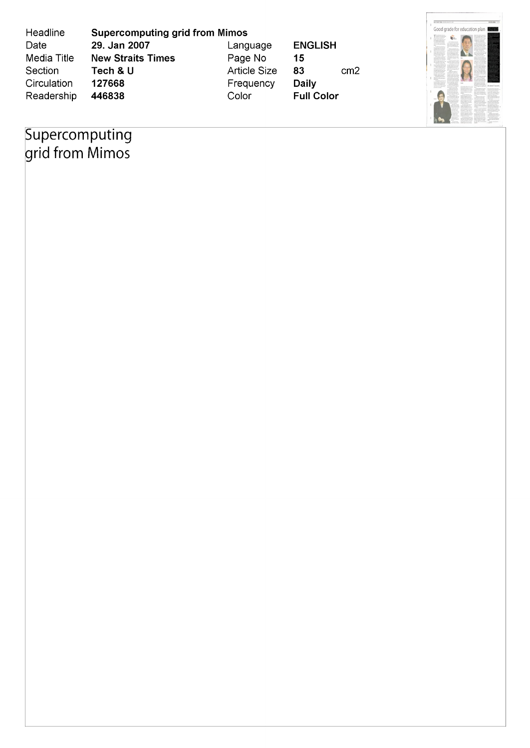| Headline    | <b>Supercomputing grid from Mimos</b> |                     |                       | Good grade for education plan<br><b>Cultural countries funds</b><br>be size beautiful and<br>and analysis and are found as the fa-<br>Adopt Spotte September<br><b>Rutings Holy color</b>                                                                                                                                                                                                                                                                                                                                                                                                                                                                                        |
|-------------|---------------------------------------|---------------------|-----------------------|----------------------------------------------------------------------------------------------------------------------------------------------------------------------------------------------------------------------------------------------------------------------------------------------------------------------------------------------------------------------------------------------------------------------------------------------------------------------------------------------------------------------------------------------------------------------------------------------------------------------------------------------------------------------------------|
| Date        | 29. Jan 2007                          | Language            | <b>ENGLISH</b>        | <b>Bath a financial student</b><br>of Aristote from the<br>C'estimazioni degli<br>implication of a letterlined.<br>The remember for the discussion<br>A Cultures at the<br>"Adamsticm.gol<br>confidential bit of<br>author is the intervision.<br>and/ up in the survive shoulder. In price and in the furniture<br>on will supplied in sub-<br>Anno Marie Stude<br>A collected building of the late of the side of<br>and the state of the property of the fact<br>also with "description<br>Woodco's helpe an                                                                                                                                                                  |
| Media Title | <b>New Straits Times</b>              | Page No             | 15                    | production department<br>ad arts missions.<br>the secure differs about market.<br>a fight looks provided<br>The first product and a st<br>which has the write at the<br>handas and with the names<br>Of AMARIA PAINTING AT<br>to Business to Management Start<br><b>American lines distance lane</b><br>the property couple when the co-                                                                                                                                                                                                                                                                                                                                         |
| Section     | Tech & U                              | <b>Article Size</b> | 83<br>cm <sub>2</sub> | "Why schools it a far-<br><b>CORRENANCIARES</b><br>provided by a field a provided inter-<br>In finally a shadow about the date<br>tractor to reach it also tur-<br>contented a computation to<br>to the factor background and<br>when the series in all of more in solid and an analysis and all<br>the particular state of the company of the form of the company services<br>your benefit of metals<br>for approved that to find after after<br><b>South book and</b><br><b>Court &amp; Allen and The A</b><br>Instrumente instala des<br>the first of the company's the<br>will believe that have to see the<br>complete and and indicate books<br>To Text today in the four- |
| Circulation | 127668                                | Frequency           | <b>Daily</b>          | called while Tobas car<br>lot Council Trend<br>Art Arbeit extrations East<br>the further manager in applica-<br>class of an exception of the fire                                                                                                                                                                                                                                                                                                                                                                                                                                                                                                                                |
| Readership  | 446838                                | Color               | <b>Full Color</b>     |                                                                                                                                                                                                                                                                                                                                                                                                                                                                                                                                                                                                                                                                                  |

**AS 4 1 1** 

## Supercomputing<br>grid from Mimos